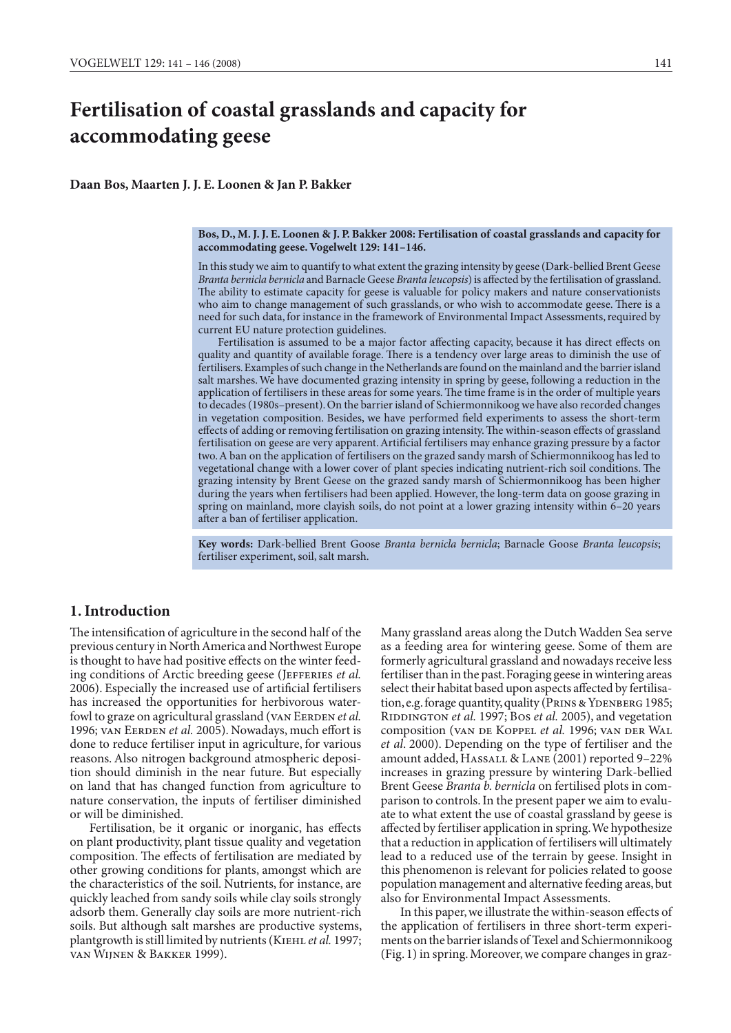# **Fertilisation of coastal grasslands and capacity for accommodating geese**

**Daan Bos, Maarten J. J. E. Loonen & Jan P. Bakker**

#### **Bos, D., M. J. J. E. Loonen & J. P. Bakker 2008: Fertilisation of coastal grasslands and capacity for accommodating geese. Vogelwelt 129: 141–146.**

In this study we aim to quantify to what extent the grazing intensity by geese (Dark-bellied Brent Geese *Branta bernicla bernicla* and Barnacle Geese *Branta leucopsis*) is affected by the fertilisation of grassland. The ability to estimate capacity for geese is valuable for policy makers and nature conservationists who aim to change management of such grasslands, or who wish to accommodate geese. There is a need for such data, for instance in the framework of Environmental Impact Assessments, required by current EU nature protection guidelines.

Fertilisation is assumed to be a major factor affecting capacity, because it has direct effects on quality and quantity of available forage. There is a tendency over large areas to diminish the use of fertilisers. Examples of such change in the Netherlands are found on the mainland and the barrier island salt marshes. We have documented grazing intensity in spring by geese, following a reduction in the application of fertilisers in these areas for some years. The time frame is in the order of multiple years to decades (1980s–present). On the barrier island of Schiermonnikoog we have also recorded changes in vegetation composition. Besides, we have performed field experiments to assess the short-term effects of adding or removing fertilisation on grazing intensity. The within-season effects of grassland fertilisation on geese are very apparent. Artificial fertilisers may enhance grazing pressure by a factor two. A ban on the application of fertilisers on the grazed sandy marsh of Schiermonnikoog has led to vegetational change with a lower cover of plant species indicating nutrient-rich soil conditions. The grazing intensity by Brent Geese on the grazed sandy marsh of Schiermonnikoog has been higher during the years when fertilisers had been applied. However, the long-term data on goose grazing in spring on mainland, more clayish soils, do not point at a lower grazing intensity within 6–20 years after a ban of fertiliser application.

**Key words:** Dark-bellied Brent Goose *Branta bernicla bernicla*; Barnacle Goose *Branta leucopsis*; fertiliser experiment, soil, salt marsh.

# **1. Introduction**

The intensification of agriculture in the second half of the previous century in North America and Northwest Europe is thought to have had positive effects on the winter feeding conditions of Arctic breeding geese (JEFFERIES *et al.*) 2006). Especially the increased use of artificial fertilisers has increased the opportunities for herbivorous waterfowl to graze on agricultural grassland (VAN EERDEN et al. 1996; van EERDEN et al. 2005). Nowadays, much effort is done to reduce fertiliser input in agriculture, for various reasons. Also nitrogen background atmospheric deposition should diminish in the near future. But especially on land that has changed function from agriculture to nature conservation, the inputs of fertiliser diminished or will be diminished.

 Fertilisation, be it organic or inorganic, has effects on plant productivity, plant tissue quality and vegetation composition. The effects of fertilisation are mediated by other growing conditions for plants, amongst which are the characteristics of the soil. Nutrients, for instance, are quickly leached from sandy soils while clay soils strongly adsorb them. Generally clay soils are more nutrient-rich soils. But although salt marshes are productive systems, plantgrowth is still limited by nutrients (KIEHL et al. 1997; van Wijnen & Bakker 1999).

Many grassland areas along the Dutch Wadden Sea serve as a feeding area for wintering geese. Some of them are formerly agricultural grassland and nowadays receive less fertiliser than in the past. Foraging geese in wintering areas select their habitat based upon aspects affected by fertilisation, e.g. forage quantity, quality (PRINS & YDENBERG 1985; RIDDINGTON et al. 1997; Bos et al. 2005), and vegetation composition (van de Koppel *et al.* 1996; van der Wal *et al*. 2000). Depending on the type of fertiliser and the amount added, HASSALL & LANE (2001) reported 9-22% increases in grazing pressure by wintering Dark-bellied Brent Geese *Branta b. bernicla* on fertilised plots in comparison to controls. In the present paper we aim to evaluate to what extent the use of coastal grassland by geese is affected by fertiliser application in spring. We hypothesize that a reduction in application of fertilisers will ultimately lead to a reduced use of the terrain by geese. Insight in this phenomenon is relevant for policies related to goose population management and alternative feeding areas, but also for Environmental Impact Assessments.

 In this paper, we illustrate the within-season effects of the application of fertilisers in three short-term experiments on the barrier islands of Texel and Schiermonnikoog (Fig. 1) in spring. Moreover, we compare changes in graz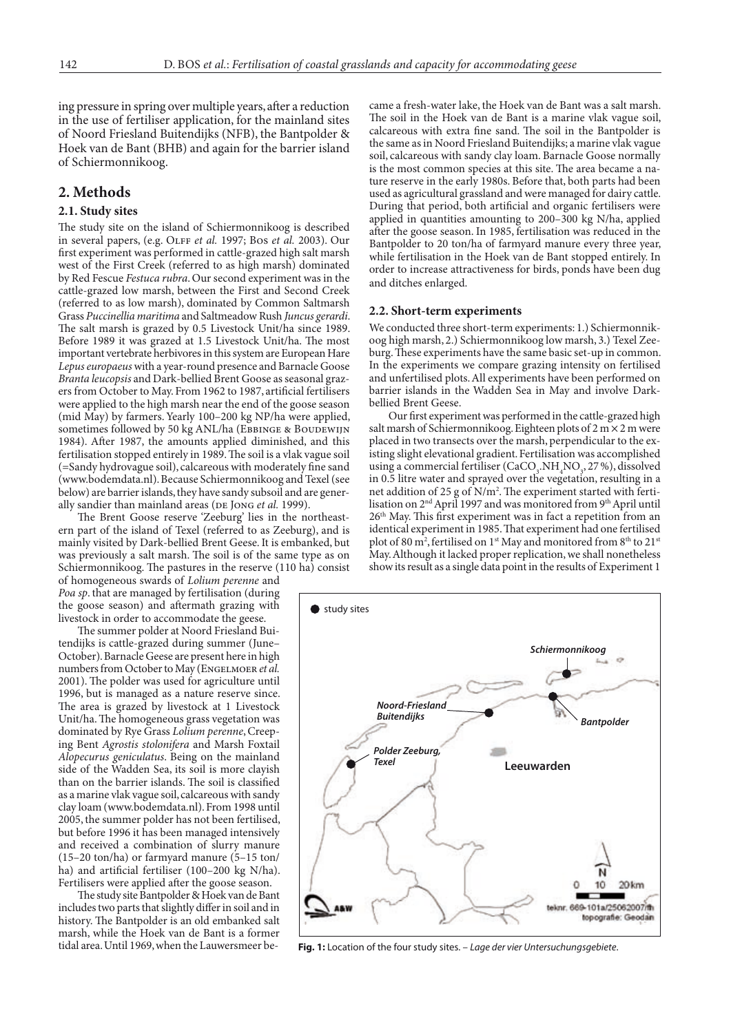ing pressure in spring over multiple years, after a reduction in the use of fertiliser application, for the mainland sites of Noord Friesland Buitendijks (NFB), the Bantpolder & Hoek van de Bant (BHB) and again for the barrier island of Schiermonnikoog.

## **2. Methods**

#### **2.1. Study sites**

The study site on the island of Schiermonnikoog is described in several papers, (e.g. Olff *et al.* 1997; Bos *et al.* 2003). Our first experiment was performed in cattle-grazed high salt marsh west of the First Creek (referred to as high marsh) dominated by Red Fescue *Festuca rubra*. Our second experiment was in the cattle-grazed low marsh, between the First and Second Creek (referred to as low marsh), dominated by Common Saltmarsh Grass *Puccinellia maritima* and Saltmeadow Rush *Juncus gerardi*. The salt marsh is grazed by 0.5 Livestock Unit/ha since 1989. Before 1989 it was grazed at 1.5 Livestock Unit/ha. The most important vertebrate herbivores in this system are European Hare *Lepus europaeus* with a year-round presence and Barnacle Goose *Branta leucopsis* and Dark-bellied Brent Goose as seasonal grazers from October to May. From 1962 to 1987, artificial fertilisers were applied to the high marsh near the end of the goose season (mid May) by farmers. Yearly 100–200 kg NP/ha were applied, sometimes followed by 50 kg ANL/ha (EBBINGE & BOUDEWIJN 1984). After 1987, the amounts applied diminished, and this fertilisation stopped entirely in 1989. The soil is a vlak vague soil (=Sandy hydrovague soil), calcareous with moderately fine sand (www.bodemdata.nl). Because Schiermonnikoog and Texel (see below) are barrier islands, they have sandy subsoil and are generally sandier than mainland areas (DE JONG et al. 1999).

 The Brent Goose reserve 'Zeeburg' lies in the northeastern part of the island of Texel (referred to as Zeeburg), and is mainly visited by Dark-bellied Brent Geese. It is embanked, but was previously a salt marsh. The soil is of the same type as on Schiermonnikoog. The pastures in the reserve (110 ha) consist

of homogeneous swards of *Lolium perenne* and *Poa sp*. that are managed by fertilisation (during the goose season) and aftermath grazing with livestock in order to accommodate the geese.

 The summer polder at Noord Friesland Buitendijks is cattle-grazed during summer (June– October). Barnacle Geese are present here in high numbers from October to May (Engelmoer *et al.* 2001). The polder was used for agriculture until 1996, but is managed as a nature reserve since. The area is grazed by livestock at 1 Livestock Unit/ha. The homogeneous grass vegetation was dominated by Rye Grass *Lolium perenne*, Creeping Bent *Agrostis stolonifera* and Marsh Foxtail *Alopecurus geniculatus*. Being on the mainland side of the Wadden Sea, its soil is more clayish than on the barrier islands. The soil is classified as a marine vlak vague soil, calcareous with sandy clay loam (www.bodemdata.nl). From 1998 until 2005, the summer polder has not been fertilised, but before 1996 it has been managed intensively and received a combination of slurry manure (15–20 ton/ha) or farmyard manure (5–15 ton/ ha) and artificial fertiliser (100–200 kg N/ha). Fertilisers were applied after the goose season.

 The study site Bantpolder & Hoek van de Bant includes two parts that slightly differ in soil and in history. The Bantpolder is an old embanked salt marsh, while the Hoek van de Bant is a former tidal area. Until 1969, when the Lauwersmeer became a fresh-water lake, the Hoek van de Bant was a salt marsh. The soil in the Hoek van de Bant is a marine vlak vague soil, calcareous with extra fine sand. The soil in the Bantpolder is the same as in Noord Friesland Buitendijks; a marine vlak vague soil, calcareous with sandy clay loam. Barnacle Goose normally is the most common species at this site. The area became a nature reserve in the early 1980s. Before that, both parts had been used as agricultural grassland and were managed for dairy cattle. During that period, both artificial and organic fertilisers were applied in quantities amounting to 200–300 kg N/ha, applied after the goose season. In 1985, fertilisation was reduced in the Bantpolder to 20 ton/ha of farmyard manure every three year, while fertilisation in the Hoek van de Bant stopped entirely. In order to increase attractiveness for birds, ponds have been dug and ditches enlarged.

#### **2.2. Short-term experiments**

We conducted three short-term experiments: 1.) Schiermonnikoog high marsh, 2.) Schiermonnikoog low marsh, 3.) Texel Zeeburg. These experiments have the same basic set-up in common. In the experiments we compare grazing intensity on fertilised and unfertilised plots. All experiments have been performed on barrier islands in the Wadden Sea in May and involve Darkbellied Brent Geese.

 Our first experiment was performed in the cattle-grazed high salt marsh of Schiermonnikoog. Eighteen plots of 2 m × 2 m were placed in two transects over the marsh, perpendicular to the existing slight elevational gradient. Fertilisation was accomplished using a commercial fertiliser (CaCO<sub>3</sub>, NH<sub>4</sub>NO<sub>3</sub>, 27%), dissolved in 0.5 litre water and sprayed over the vegetation, resulting in a net addition of 25 g of N/m<sup>2</sup>. The experiment started with fertilisation on 2<sup>nd</sup> April 1997 and was monitored from 9<sup>th</sup> April until 26th May. This first experiment was in fact a repetition from an identical experiment in 1985. That experiment had one fertilised plot of 80 m², fertilised on 1st May and monitored from 8th to 21st May. Although it lacked proper replication, we shall nonetheless show its result as a single data point in the results of Experiment 1



**Fig. 1:** Location of the four study sites. – *Lage der vier Untersuchungsgebiete*.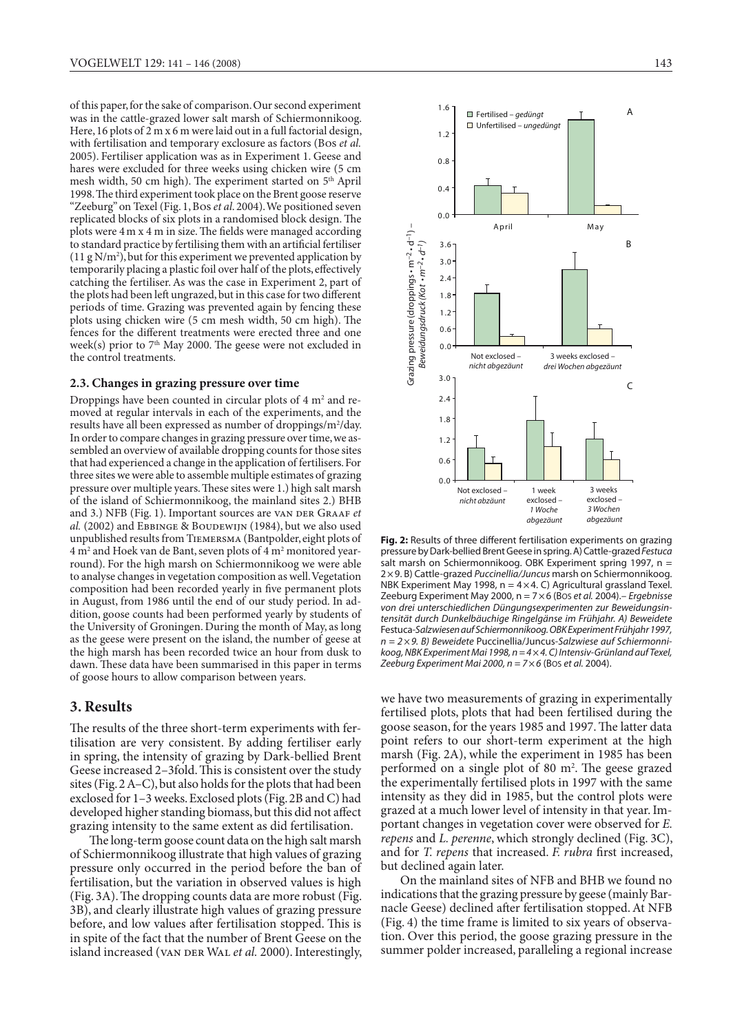of this paper, for the sake of comparison. Our second experiment was in the cattle-grazed lower salt marsh of Schiermonnikoog. Here, 16 plots of 2 m x 6 m were laid out in a full factorial design, with fertilisation and temporary exclosure as factors (Bos *et al.* 2005). Fertiliser application was as in Experiment 1. Geese and hares were excluded for three weeks using chicken wire (5 cm mesh width, 50 cm high). The experiment started on 5<sup>th</sup> April 1998. The third experiment took place on the Brent goose reserve "Zeeburg" on Texel (Fig. 1, Bos et al. 2004). We positioned seven replicated blocks of six plots in a randomised block design. The plots were 4m x 4 m in size. The fields were managed according to standard practice by fertilising them with an artificial fertiliser  $(11 g N/m<sup>2</sup>)$ , but for this experiment we prevented application by temporarily placing a plastic foil over half of the plots, effectively catching the fertiliser. As was the case in Experiment 2, part of the plots had been left ungrazed, but in this case for two different periods of time. Grazing was prevented again by fencing these plots using chicken wire (5 cm mesh width, 50 cm high). The fences for the different treatments were erected three and one week(s) prior to  $7<sup>th</sup>$  May 2000. The geese were not excluded in the control treatments.

#### **2.3. Changes in grazing pressure over time**

Droppings have been counted in circular plots of 4 m<sup>2</sup> and removed at regular intervals in each of the experiments, and the results have all been expressed as number of droppings/m<sup>2</sup>/day. In order to compare changes in grazing pressure over time, we assembled an overview of available dropping counts for those sites that had experienced a change in the application of fertilisers. For three sites we were able to assemble multiple estimates of grazing pressure over multiple years. These sites were 1.) high salt marsh of the island of Schiermonnikoog, the mainland sites 2.) BHB and 3.) NFB (Fig. 1). Important sources are van DER GRAAF et al. (2002) and EBBINGE & BOUDEWIJN (1984), but we also used unpublished results from Tiemersma (Bantpolder, eight plots of  $4\,\rm{m^2}$  and Hoek van de Bant, seven plots of  $4\,\rm{m^2}$  monitored yearround). For the high marsh on Schiermonnikoog we were able to analyse changes in vegetation composition as well. Vegetation composition had been recorded yearly in five permanent plots in August, from 1986 until the end of our study period. In addition, goose counts had been performed yearly by students of the University of Groningen. During the month of May, as long as the geese were present on the island, the number of geese at the high marsh has been recorded twice an hour from dusk to dawn. These data have been summarised in this paper in terms of goose hours to allow comparison between years.

# **3. Results**

The results of the three short-term experiments with fertilisation are very consistent. By adding fertiliser early in spring, the intensity of grazing by Dark-bellied Brent Geese increased 2–3fold. This is consistent over the study sites (Fig. 2 A–C), but also holds for the plots that had been exclosed for 1–3 weeks. Exclosed plots (Fig. 2B and C) had developed higher standing biomass, but this did not affect grazing intensity to the same extent as did fertilisation.

 The long-term goose count data on the high salt marsh of Schiermonnikoog illustrate that high values of grazing pressure only occurred in the period before the ban of fertilisation, but the variation in observed values is high (Fig. 3A). The dropping counts data are more robust (Fig. 3B), and clearly illustrate high values of grazing pressure before, and low values after fertilisation stopped. This is in spite of the fact that the number of Brent Geese on the island increased (VAN DER WAL *et al.* 2000). Interestingly,



**Fig. 2:** Results of three different fertilisation experiments on grazing pressure by Dark-bellied Brent Geese in spring. A) Cattle-grazed *Festuca* salt marsh on Schiermonnikoog. OBK Experiment spring 1997, n = 2×9. B) Cattle-grazed *Puccinellia/Juncus* marsh on Schiermonnikoog. NBK Experiment May 1998,  $n = 4 \times 4$ . C) Agricultural grassland Texel. Zeeburg Experiment May 2000, n = 7×6 (Bos *et al.* 2004).– *Ergebnisse von drei unterschiedlichen Düngungsexperimenten zur Beweidungsintensität durch Dunkelbäuchige Ringelgänse im Frühjahr. A) Beweidete*  Festuca*-Salzwiesen auf Schiermonnikoog. OBK Experiment Frühjahr 1997, n = 2×9. B) Beweidete* Puccinellia/Juncus*-Salzwiese auf Schiermonnikoog, NBK Experiment Mai 1998, n = 4*×*4. C) Intensiv-Grünland auf Texel, Zeeburg Experiment Mai 2000, n = 7*×*6* (Bos *et al.* 2004).

we have two measurements of grazing in experimentally fertilised plots, plots that had been fertilised during the goose season, for the years 1985 and 1997. The latter data point refers to our short-term experiment at the high marsh (Fig. 2A), while the experiment in 1985 has been performed on a single plot of 80 m<sup>2</sup>. The geese grazed the experimentally fertilised plots in 1997 with the same intensity as they did in 1985, but the control plots were grazed at a much lower level of intensity in that year. Important changes in vegetation cover were observed for *E. repens* and *L. perenne*, which strongly declined (Fig. 3C), and for *T. repens* that increased. *F. rubra* first increased, but declined again later.

On the mainland sites of NFB and BHB we found no indications that the grazing pressure by geese (mainly Barnacle Geese) declined after fertilisation stopped. At NFB (Fig. 4) the time frame is limited to six years of observation. Over this period, the goose grazing pressure in the summer polder increased, paralleling a regional increase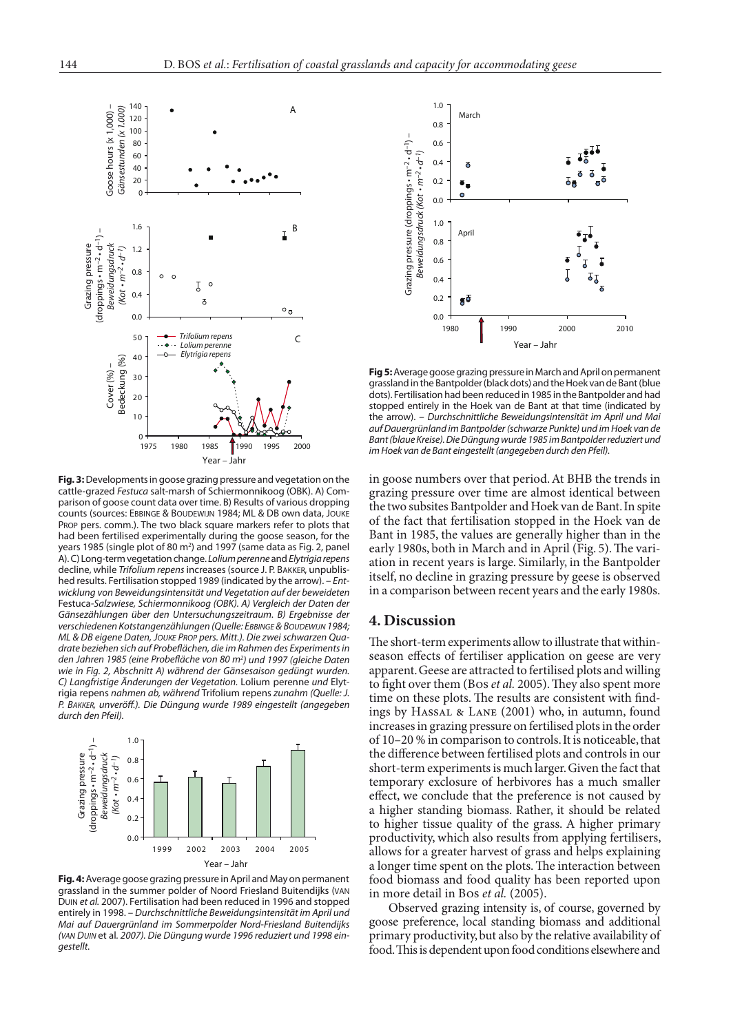

**Fig. 3:** Developments in goose grazing pressure and vegetation on the cattle-grazed *Festuca* salt-marsh of Schiermonnikoog (OBK). A) Comparison of goose count data over time. B) Results of various dropping counts (sources: Ebbinge & Boudewijn 1984; ML & DB own data, Jouke PROP pers. comm.). The two black square markers refer to plots that had been fertilised experimentally during the goose season, for the years 1985 (single plot of 80 m<sup>2</sup>) and 1997 (same data as Fig. 2, panel A). C) Long-term vegetation change. *Lolium perenne* and *Elytrigia repens* decline, while *Trifolium repens* increases (source J. P. Bakker, unpublished results. Fertilisation stopped 1989 (indicated by the arrow). – *Entwicklung von Beweidungsintensität und Vegetation auf der beweideten*  Festuca*-Salzwiese, Schiermonnikoog (OBK). A) Vergleich der Daten der Gänsezählungen über den Untersuchungszeitraum. B) Ergebnisse der verschiedenen Kotstangenzählungen (Quelle: Ebbinge & Boudewijn 1984; ML & DB eigene Daten, Jouke Prop pers. Mitt.). Die zwei schwarzen Quadrate beziehen sich auf Probeflächen, die im Rahmen des Experiments in den Jahren 1985 (eine Probefläche von 80 m2 ) und 1997 (gleiche Daten wie in Fig. 2, Abschnitt A) während der Gänsesaison gedüngt wurden. C) Langfristige Änderungen der Vegetation.* Lolium perenne *und* Elytrigia repens *nahmen ab, während* Trifolium repens *zunahm (Quelle: J. P. Bakker, unveröff.). Die Düngung wurde 1989 eingestellt (angegeben durch den Pfeil).*



**Fig. 4:** Average goose grazing pressure in April and May on permanent grassland in the summer polder of Noord Friesland Buitendijks (van Duin *et al.* 2007). Fertilisation had been reduced in 1996 and stopped entirely in 1998. – *Durchschnittliche Beweidungsintensität im April und Mai auf Dauergrünland im Sommerpolder Nord-Friesland Buitendijks (van Duin* et al*. 2007). Die Düngung wurde 1996 reduziert und 1998 eingestellt.*



**Fig 5:** Average goose grazing pressure in March and April on permanent grassland in the Bantpolder (black dots) and the Hoek van de Bant (blue dots). Fertilisation had been reduced in 1985 in the Bantpolder and had stopped entirely in the Hoek van de Bant at that time (indicated by the arrow). – *Durchschnittliche Beweidungsintensität im April und Mai auf Dauergrünland im Bantpolder (schwarze Punkte) und im Hoek van de Bant (blaue Kreise). Die Düngung wurde 1985 im Bantpolder reduziert und im Hoek van de Bant eingestellt (angegeben durch den Pfeil).*

in goose numbers over that period. At BHB the trends in grazing pressure over time are almost identical between the two subsites Bantpolder and Hoek van de Bant. In spite of the fact that fertilisation stopped in the Hoek van de Bant in 1985, the values are generally higher than in the early 1980s, both in March and in April (Fig. 5). The variation in recent years is large. Similarly, in the Bantpolder itself, no decline in grazing pressure by geese is observed in a comparison between recent years and the early 1980s.

## **4. Discussion**

The short-term experiments allow to illustrate that withinseason effects of fertiliser application on geese are very apparent. Geese are attracted to fertilised plots and willing to fight over them (Bos *et al.* 2005). They also spent more time on these plots. The results are consistent with findings by Hassal & Lane (2001) who, in autumn, found increases in grazing pressure on fertilised plots in the order of 10–20 % in comparison to controls. It is noticeable, that the difference between fertilised plots and controls in our short-term experiments is much larger. Given the fact that temporary exclosure of herbivores has a much smaller effect, we conclude that the preference is not caused by a higher standing biomass. Rather, it should be related to higher tissue quality of the grass. A higher primary productivity, which also results from applying fertilisers, allows for a greater harvest of grass and helps explaining a longer time spent on the plots. The interaction between food biomass and food quality has been reported upon in more detail in Bos *et al.* (2005).

 Observed grazing intensity is, of course, governed by goose preference, local standing biomass and additional primary productivity, but also by the relative availability of food. This is dependent upon food conditions elsewhere and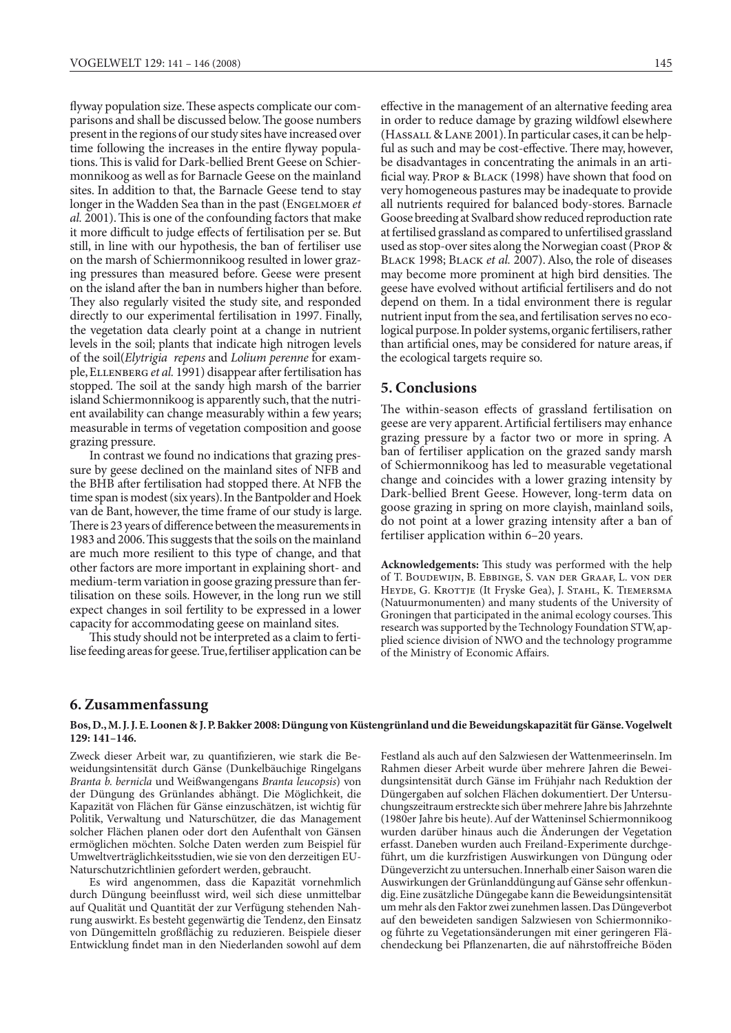flyway population size. These aspects complicate our comparisons and shall be discussed below. The goose numbers present in the regions of our study sites have increased over time following the increases in the entire flyway populations. This is valid for Dark-bellied Brent Geese on Schiermonnikoog as well as for Barnacle Geese on the mainland sites. In addition to that, the Barnacle Geese tend to stay longer in the Wadden Sea than in the past (ENGELMOER et *al.* 2001). This is one of the confounding factors that make it more difficult to judge effects of fertilisation per se. But still, in line with our hypothesis, the ban of fertiliser use on the marsh of Schiermonnikoog resulted in lower grazing pressures than measured before. Geese were present on the island after the ban in numbers higher than before. They also regularly visited the study site, and responded directly to our experimental fertilisation in 1997. Finally, the vegetation data clearly point at a change in nutrient levels in the soil; plants that indicate high nitrogen levels of the soil(*Elytrigia repens* and *Lolium perenne* for example, Ellenberg *et al.* 1991) disappear after fertilisation has stopped. The soil at the sandy high marsh of the barrier island Schiermonnikoog is apparently such, that the nutrient availability can change measurably within a few years; measurable in terms of vegetation composition and goose grazing pressure.

 In contrast we found no indications that grazing pressure by geese declined on the mainland sites of NFB and the BHB after fertilisation had stopped there. At NFB the time span is modest (six years). In the Bantpolder and Hoek van de Bant, however, the time frame of our study is large. There is 23 years of difference between the measurements in 1983 and 2006. This suggests that the soils on the mainland are much more resilient to this type of change, and that other factors are more important in explaining short- and medium-term variation in goose grazing pressure than fertilisation on these soils. However, in the long run we still expect changes in soil fertility to be expressed in a lower capacity for accommodating geese on mainland sites.

 This study should not be interpreted as a claim to fertilise feeding areas for geese. True, fertiliser application can be effective in the management of an alternative feeding area in order to reduce damage by grazing wildfowl elsewhere (Hassall & Lane 2001). In particular cases, it can be helpful as such and may be cost-effective. There may, however, be disadvantages in concentrating the animals in an artificial way. Prop & Black (1998) have shown that food on very homogeneous pastures may be inadequate to provide all nutrients required for balanced body-stores. Barnacle Goose breeding at Svalbard show reduced reproduction rate at fertilised grassland as compared to unfertilised grassland used as stop-over sites along the Norwegian coast (Prop & Black 1998; Black *et al.* 2007). Also, the role of diseases may become more prominent at high bird densities. The geese have evolved without artificial fertilisers and do not depend on them. In a tidal environment there is regular nutrient input from the sea, and fertilisation serves no ecological purpose. In polder systems, organic fertilisers, rather than artificial ones, may be considered for nature areas, if the ecological targets require so.

## **5. Conclusions**

The within-season effects of grassland fertilisation on geese are very apparent. Artificial fertilisers may enhance grazing pressure by a factor two or more in spring. A ban of fertiliser application on the grazed sandy marsh of Schiermonnikoog has led to measurable vegetational change and coincides with a lower grazing intensity by Dark-bellied Brent Geese. However, long-term data on goose grazing in spring on more clayish, mainland soils, do not point at a lower grazing intensity after a ban of fertiliser application within 6–20 years.

**Acknowledgements:** This study was performed with the help of T. Boudewijn, B. Ebbinge, S. van der Graaf, L. von der Heyde, G. Krottje (It Fryske Gea), J. Stahl, K. Tiemersma (Natuurmonumenten) and many students of the University of Groningen that participated in the animal ecology courses. This research was supported by the Technology Foundation STW, applied science division of NWO and the technology programme of the Ministry of Economic Affairs.

## **6. Zusammenfassung**

#### **Bos, D., M. J. J. E. Loonen & J. P. Bakker 2008: Düngung von Küstengrünland und die Beweidungskapazität für Gänse. Vogelwelt 129: 141–146.**

Zweck dieser Arbeit war, zu quantifizieren, wie stark die Beweidungsintensität durch Gänse (Dunkelbäuchige Ringelgans *Branta b. bernicla* und Weißwangengans *Branta leucopsis*) von der Düngung des Grünlandes abhängt. Die Möglichkeit, die Kapazität von Flächen für Gänse einzuschätzen, ist wichtig für Politik, Verwaltung und Naturschützer, die das Management solcher Flächen planen oder dort den Aufenthalt von Gänsen ermöglichen möchten. Solche Daten werden zum Beispiel für Umweltverträglichkeitsstudien, wie sie von den derzeitigen EU-Naturschutzrichtlinien gefordert werden, gebraucht.

 Es wird angenommen, dass die Kapazität vornehmlich durch Düngung beeinflusst wird, weil sich diese unmittelbar auf Qualität und Quantität der zur Verfügung stehenden Nahrung auswirkt. Es besteht gegenwärtig die Tendenz, den Einsatz von Düngemitteln großflächig zu reduzieren. Beispiele dieser Entwicklung findet man in den Niederlanden sowohl auf dem Festland als auch auf den Salzwiesen der Wattenmeerinseln. Im Rahmen dieser Arbeit wurde über mehrere Jahren die Beweidungsintensität durch Gänse im Frühjahr nach Reduktion der Düngergaben auf solchen Flächen dokumentiert. Der Untersuchungszeitraum erstreckte sich über mehrere Jahre bis Jahrzehnte (1980er Jahre bis heute). Auf der Watteninsel Schiermonnikoog wurden darüber hinaus auch die Änderungen der Vegetation erfasst. Daneben wurden auch Freiland-Experimente durchgeführt, um die kurzfristigen Auswirkungen von Düngung oder Düngeverzicht zu untersuchen. Innerhalb einer Saison waren die Auswirkungen der Grünlanddüngung auf Gänse sehr offenkundig. Eine zusätzliche Düngegabe kann die Beweidungsintensität um mehr als den Faktor zwei zunehmen lassen. Das Düngeverbot auf den beweideten sandigen Salzwiesen von Schiermonnikoog führte zu Vegetationsänderungen mit einer geringeren Flächendeckung bei Pflanzenarten, die auf nährstoffreiche Böden